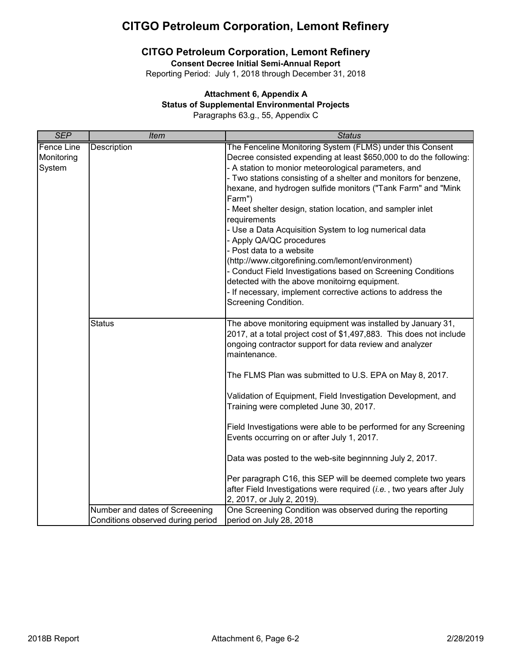### **CITGO Petroleum Corporation, Lemont Refinery**

**Consent Decree Initial Semi-Annual Report**

Reporting Period: July 1, 2018 through December 31, 2018

### **Attachment 6, Appendix A**

#### **Status of Supplemental Environmental Projects**

Paragraphs 63.g., 55, Appendix C

| <b>SEP</b>                                | <b>Item</b>                       | <b>Status</b>                                                                                                                                                                                                                                                                                                                                                                                                                                                                                                                                                                                                                                                                                                                                                                                     |
|-------------------------------------------|-----------------------------------|---------------------------------------------------------------------------------------------------------------------------------------------------------------------------------------------------------------------------------------------------------------------------------------------------------------------------------------------------------------------------------------------------------------------------------------------------------------------------------------------------------------------------------------------------------------------------------------------------------------------------------------------------------------------------------------------------------------------------------------------------------------------------------------------------|
| <b>Fence Line</b><br>Monitoring<br>System | Description                       | The Fenceline Monitoring System (FLMS) under this Consent<br>Decree consisted expending at least \$650,000 to do the following:<br>- A station to monior meteorological parameters, and<br>- Two stations consisting of a shelter and monitors for benzene,<br>hexane, and hydrogen sulfide monitors ("Tank Farm" and "Mink<br>Farm")<br>- Meet shelter design, station location, and sampler inlet<br>requirements<br>- Use a Data Acquisition System to log numerical data<br>- Apply QA/QC procedures<br>- Post data to a website<br>(http://www.citgorefining.com/lemont/environment)<br>- Conduct Field Investigations based on Screening Conditions<br>detected with the above monitoirng equipment.<br>- If necessary, implement corrective actions to address the<br>Screening Condition. |
|                                           | <b>Status</b>                     | The above monitoring equipment was installed by January 31,<br>2017, at a total project cost of \$1,497,883. This does not include<br>ongoing contractor support for data review and analyzer<br>maintenance.<br>The FLMS Plan was submitted to U.S. EPA on May 8, 2017.<br>Validation of Equipment, Field Investigation Development, and<br>Training were completed June 30, 2017.<br>Field Investigations were able to be performed for any Screening<br>Events occurring on or after July 1, 2017.<br>Data was posted to the web-site beginnning July 2, 2017.<br>Per paragraph C16, this SEP will be deemed complete two years<br>after Field Investigations were required (i.e., two years after July<br>2, 2017, or July 2, 2019).                                                          |
|                                           | Number and dates of Screeening    | One Screening Condition was observed during the reporting                                                                                                                                                                                                                                                                                                                                                                                                                                                                                                                                                                                                                                                                                                                                         |
|                                           | Conditions observed during period | period on July 28, 2018                                                                                                                                                                                                                                                                                                                                                                                                                                                                                                                                                                                                                                                                                                                                                                           |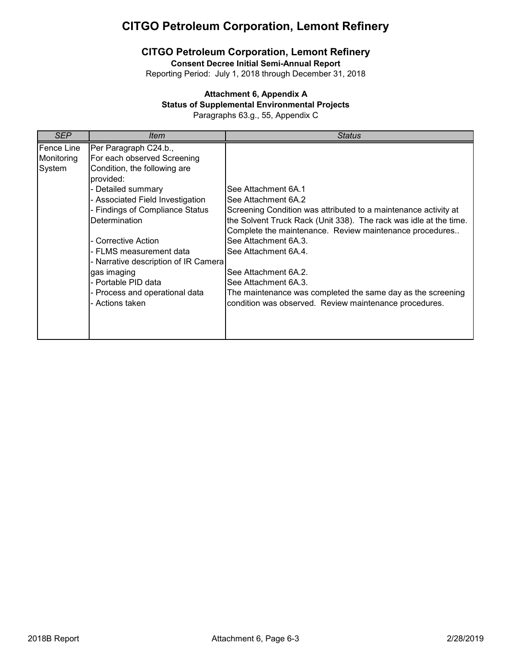## **CITGO Petroleum Corporation, Lemont Refinery**

**Consent Decree Initial Semi-Annual Report**

Reporting Period: July 1, 2018 through December 31, 2018

#### **Attachment 6, Appendix A**

#### **Status of Supplemental Environmental Projects**

Paragraphs 63.g., 55, Appendix C

| SEP        | ltem                                 | <b>Status</b>                                                     |
|------------|--------------------------------------|-------------------------------------------------------------------|
| Fence Line | Per Paragraph C24.b.,                |                                                                   |
| Monitoring | For each observed Screening          |                                                                   |
| System     | Condition, the following are         |                                                                   |
|            | provided:                            |                                                                   |
|            | - Detailed summary                   | See Attachment 6A.1                                               |
|            | - Associated Field Investigation     | See Attachment 6A.2                                               |
|            | - Findings of Compliance Status      | Screening Condition was attributed to a maintenance activity at   |
|            | Determination                        | the Solvent Truck Rack (Unit 338). The rack was idle at the time. |
|            |                                      | Complete the maintenance. Review maintenance procedures           |
|            | - Corrective Action                  | See Attachment 6A.3.                                              |
|            | - FLMS measurement data              | See Attachment 6A.4.                                              |
|            | - Narrative description of IR Camera |                                                                   |
|            | gas imaging                          | See Attachment 6A.2.                                              |
|            | - Portable PID data                  | See Attachment 6A.3.                                              |
|            | - Process and operational data       | The maintenance was completed the same day as the screening       |
|            | - Actions taken                      | condition was observed. Review maintenance procedures.            |
|            |                                      |                                                                   |
|            |                                      |                                                                   |
|            |                                      |                                                                   |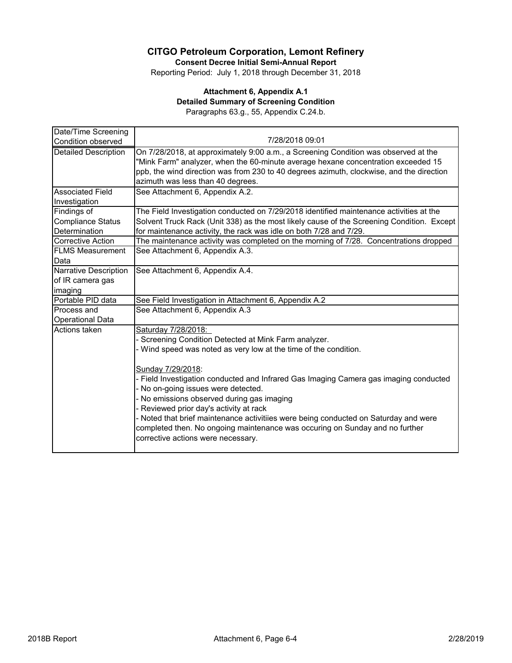**Consent Decree Initial Semi-Annual Report**

Reporting Period: July 1, 2018 through December 31, 2018

#### **Attachment 6, Appendix A.1 Detailed Summary of Screening Condition** Paragraphs 63.g., 55, Appendix C.24.b.

| Date/Time Screening         |                                                                                           |  |  |  |  |
|-----------------------------|-------------------------------------------------------------------------------------------|--|--|--|--|
| Condition observed          | 7/28/2018 09:01                                                                           |  |  |  |  |
| <b>Detailed Description</b> | On 7/28/2018, at approximately 9:00 a.m., a Screening Condition was observed at the       |  |  |  |  |
|                             | "Mink Farm" analyzer, when the 60-minute average hexane concentration exceeded 15         |  |  |  |  |
|                             | ppb, the wind direction was from 230 to 40 degrees azimuth, clockwise, and the direction  |  |  |  |  |
|                             | azimuth was less than 40 degrees.                                                         |  |  |  |  |
| <b>Associated Field</b>     | See Attachment 6, Appendix A.2.                                                           |  |  |  |  |
| Investigation               |                                                                                           |  |  |  |  |
| Findings of                 | The Field Investigation conducted on 7/29/2018 identified maintenance activities at the   |  |  |  |  |
| <b>Compliance Status</b>    | Solvent Truck Rack (Unit 338) as the most likely cause of the Screening Condition. Except |  |  |  |  |
| Determination               | for maintenance activity, the rack was idle on both 7/28 and 7/29.                        |  |  |  |  |
| <b>Corrective Action</b>    | The maintenance activity was completed on the morning of 7/28. Concentrations dropped     |  |  |  |  |
| <b>FLMS Measurement</b>     | See Attachment 6, Appendix A.3.                                                           |  |  |  |  |
| Data                        |                                                                                           |  |  |  |  |
| Narrative Description       | See Attachment 6, Appendix A.4.                                                           |  |  |  |  |
| of IR camera gas            |                                                                                           |  |  |  |  |
| imaging                     |                                                                                           |  |  |  |  |
| Portable PID data           | See Field Investigation in Attachment 6, Appendix A.2                                     |  |  |  |  |
| Process and                 | See Attachment 6, Appendix A.3                                                            |  |  |  |  |
| <b>Operational Data</b>     |                                                                                           |  |  |  |  |
| Actions taken               | Saturday 7/28/2018:                                                                       |  |  |  |  |
|                             | Screening Condition Detected at Mink Farm analyzer.                                       |  |  |  |  |
|                             | - Wind speed was noted as very low at the time of the condition.                          |  |  |  |  |
|                             |                                                                                           |  |  |  |  |
|                             | Sunday 7/29/2018:                                                                         |  |  |  |  |
|                             | - Field Investigation conducted and Infrared Gas Imaging Camera gas imaging conducted     |  |  |  |  |
|                             | No on-going issues were detected.                                                         |  |  |  |  |
|                             | No emissions observed during gas imaging                                                  |  |  |  |  |
|                             | Reviewed prior day's activity at rack                                                     |  |  |  |  |
|                             | Noted that brief maintenance activitiies were being conducted on Saturday and were        |  |  |  |  |
|                             | completed then. No ongoing maintenance was occuring on Sunday and no further              |  |  |  |  |
|                             | corrective actions were necessary.                                                        |  |  |  |  |
|                             |                                                                                           |  |  |  |  |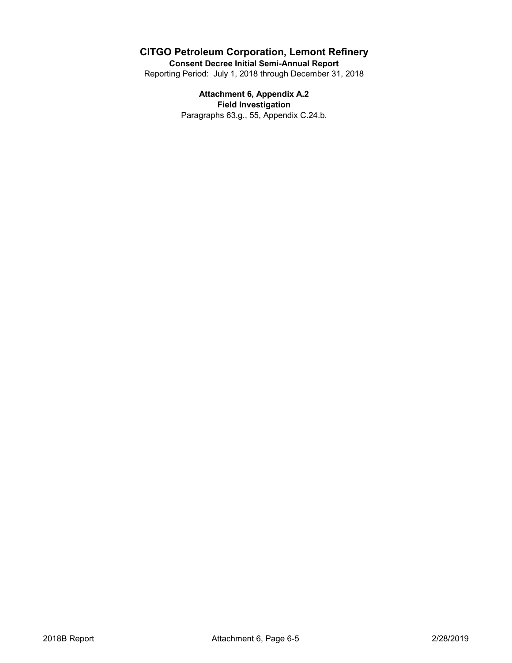**Consent Decree Initial Semi-Annual Report**

Reporting Period: July 1, 2018 through December 31, 2018

**Attachment 6, Appendix A.2 Field Investigation** Paragraphs 63.g., 55, Appendix C.24.b.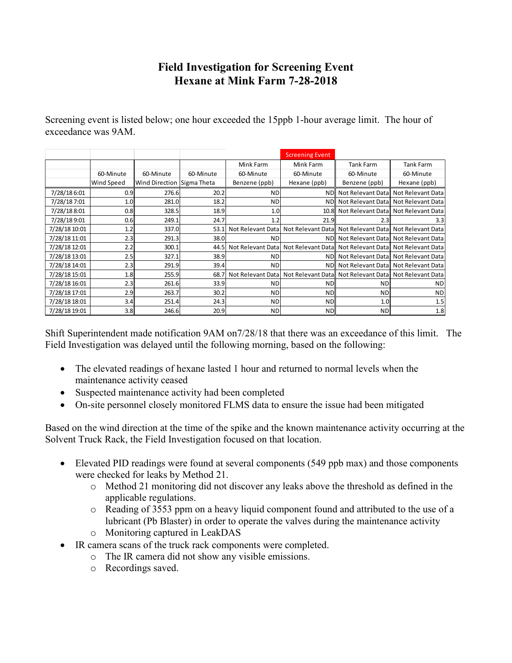## **Field Investigation for Screening Event Hexane at Mink Farm 7-28-2018**

Screening event is listed below; one hour exceeded the 15ppb 1-hour average limit. The hour of exceedance was 9AM.

|               |            |                            |           |                   | <b>Screening Event</b> |                  |                                      |
|---------------|------------|----------------------------|-----------|-------------------|------------------------|------------------|--------------------------------------|
|               |            |                            |           | Mink Farm         | Mink Farm              | <b>Tank Farm</b> | Tank Farm                            |
|               | 60-Minute  | 60-Minute                  | 60-Minute | 60-Minute         | 60-Minute              | 60-Minute        | 60-Minute                            |
|               | Wind Speed | Wind Direction Sigma Theta |           | Benzene (ppb)     | Hexane (ppb)           | Benzene (ppb)    | Hexane (ppb)                         |
| 7/28/18 6:01  | 0.9        | 276.6                      | 20.2      | <b>ND</b>         | <b>ND</b>              |                  | Not Relevant Datal Not Relevant Data |
| 7/28/18 7:01  | 1.0        | 281.0                      | 18.2      | <b>ND</b>         | <b>NDI</b>             |                  | Not Relevant Datal Not Relevant Data |
| 7/28/188:01   | 0.8        | 328.5                      | 18.9      | 1.0               | 10.8                   |                  | Not Relevant Datal Not Relevant Data |
| 7/28/189:01   | 0.6        | 249.1                      | 24.7      | 1.2               | 21.9                   | 2.3              | 3.3                                  |
| 7/28/18 10:01 | 1.2        | 337.0                      | 53.1      | Not Relevant Data | Not Relevant Data      |                  | Not Relevant Data Not Relevant Data  |
| 7/28/18 11:01 | 2.3        | 291.3                      | 38.0      | <b>ND</b>         | <b>NDI</b>             |                  | Not Relevant Data Not Relevant Data  |
| 7/28/18 12:01 | 2.2        | 300.1                      | 44.5      | Not Relevant Data | Not Relevant Datal     |                  | Not Relevant Datal Not Relevant Data |
| 7/28/18 13:01 | 2.5        | 327.1                      | 38.9      | <b>ND</b>         | <b>NDI</b>             |                  | Not Relevant Data Not Relevant Data  |
| 7/28/18 14:01 | 2.3        | 291.9                      | 39.4      | <b>ND</b>         | <b>NDI</b>             |                  | Not Relevant Data Not Relevant Data  |
| 7/28/18 15:01 | 1.8        | 255.9                      | 68.7      | Not Relevant Data | Not Relevant Data      |                  | Not Relevant Data Not Relevant Data  |
| 7/28/18 16:01 | 2.3        | 261.6                      | 33.9      | <b>ND</b>         | <b>ND</b>              | ND.              | <b>ND</b>                            |
| 7/28/18 17:01 | 2.9        | 263.7                      | 30.2      | <b>ND</b>         | <b>ND</b>              | <b>ND</b>        | <b>ND</b>                            |
| 7/28/18 18:01 | 3.4        | 251.4                      | 24.3      | <b>ND</b>         | <b>ND</b>              | 1.0              | 1.5                                  |
| 7/28/18 19:01 | 3.8        | 246.6                      | 20.9      | <b>ND</b>         | <b>ND</b>              | <b>ND</b>        | 1.8                                  |
|               |            |                            |           |                   |                        |                  |                                      |

Shift Superintendent made notification 9AM on7/28/18 that there was an exceedance of this limit. The Field Investigation was delayed until the following morning, based on the following:

- The elevated readings of hexane lasted 1 hour and returned to normal levels when the maintenance activity ceased
- Suspected maintenance activity had been completed
- On-site personnel closely monitored FLMS data to ensure the issue had been mitigated

Based on the wind direction at the time of the spike and the known maintenance activity occurring at the Solvent Truck Rack, the Field Investigation focused on that location.

- Elevated PID readings were found at several components (549 ppb max) and those components were checked for leaks by Method 21.
	- o Method 21 monitoring did not discover any leaks above the threshold as defined in the applicable regulations.
	- o Reading of 3553 ppm on a heavy liquid component found and attributed to the use of a lubricant (Pb Blaster) in order to operate the valves during the maintenance activity
	- o Monitoring captured in LeakDAS
- IR camera scans of the truck rack components were completed.
	- o The IR camera did not show any visible emissions.
	- o Recordings saved.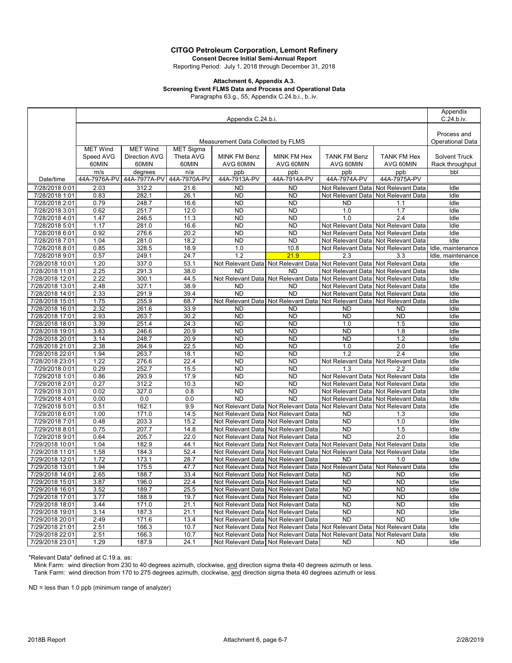**Consent Decree Initial Semi-Annual Report**

Reporting Period: July 1, 2018 through December 31, 2018

#### **Attachment 6, Appendix A.3. Screening Event FLMS Data and Process and Operational Data**

Paragraphs 63.g., 55, Appendix C.24.b.i., b..iv.

|                                  | Appendix C.24.b.i.                 |                 |              |                                     |                                                                         |                                        |                                        |                                        |
|----------------------------------|------------------------------------|-----------------|--------------|-------------------------------------|-------------------------------------------------------------------------|----------------------------------------|----------------------------------------|----------------------------------------|
|                                  |                                    |                 |              |                                     |                                                                         |                                        |                                        |                                        |
|                                  | Measurement Data Collected by FLMS |                 |              |                                     |                                                                         |                                        |                                        | Process and<br><b>Operational Data</b> |
|                                  | <b>MET Wind</b>                    | <b>MET Wind</b> | MET Sigma    |                                     |                                                                         |                                        |                                        |                                        |
|                                  | Speed AVG                          | Direction AVG   | Theta AVG    | MINK FM Benz                        | <b>MINK FM Hex</b>                                                      | <b>TANK FM Benz</b>                    | <b>TANK FM Hex</b>                     | Solvent Truck                          |
|                                  | 60MIN                              | 60MIN           | 60MIN        | AVG 60MIN                           | AVG 60MIN                                                               | AVG 60MIN                              | AVG 60MIN                              | Rack throughput                        |
|                                  | m/s                                | degrees         | n/a          | ppb                                 | ppb                                                                     | ppb                                    | ppb                                    | bbl                                    |
| Date/time                        | 44A-7976A-PV                       | 44A-7977A-PV    | 44A-7970A-PV | 44A-7913A-PV                        | 44A-7914A-PV                                                            | 44A-7974A-PV                           | 44A-7975A-PV                           |                                        |
| 7/28/2018 0:01                   | 2.03                               | 312.2           | 21.6         | ND                                  | ND                                                                      | Not Relevant Data                      | Not Relevant Data                      | Idle                                   |
| 7/28/2018 1:01                   | 0.83                               | 282.1           | 26.1         | <b>ND</b>                           | <b>ND</b>                                                               | Not Relevant Data                      | Not Relevant Data                      | Idle                                   |
| 7/28/2018 2:01                   | 0.79                               | 248.7           | 16.6         | <b>ND</b>                           | <b>ND</b>                                                               | <b>ND</b>                              | 1.1                                    | Idle                                   |
| 7/28/2018 3:01                   | 0.62<br>1.47                       | 251.7           | 12.0<br>11.3 | <b>ND</b><br><b>ND</b>              | <b>ND</b>                                                               | 1.0<br>1.0                             | 1.7<br>$\overline{2.4}$                | Idle                                   |
| 7/28/2018 4:01<br>7/28/2018 5:01 | 1.17                               | 246.5<br>281.0  | 16.6         | <b>ND</b>                           | <b>ND</b><br><b>ND</b>                                                  |                                        | Not Relevant Data Not Relevant Data    | Idle<br>Idle                           |
| 7/28/2018 6:01                   | 0.92                               | 276.6           | 20.2         | <b>ND</b>                           | <b>ND</b>                                                               |                                        | Not Relevant Data Not Relevant Data    | Idle                                   |
| 7/28/2018 7:01                   | 1.04                               | 281.0           | 18.2         | <b>ND</b>                           | <b>ND</b>                                                               |                                        | Not Relevant Data Not Relevant Data    | Idle                                   |
| 7/28/2018 8:01                   | 0.85                               | 328.5           | 18.9         | 1.0                                 | 10.8                                                                    | Not Relevant Data                      | Not Relevant Data                      | Idle, maintenance                      |
| 7/28/2018 9:01                   | 0.57                               | 249.1           | 24.7         | 1.2                                 | 21.9                                                                    | 2.3                                    | 3.3                                    | Idle, maintenance                      |
| 7/28/2018 10:01                  | 1.20                               | 337.0           | 53.1         | Not Relevant Data                   | Not Relevant Data                                                       | Not Relevant Data                      | Not Relevant Data                      | Idle                                   |
| 7/28/2018 11:01                  | 2.25                               | 291.3           | 38.0         | ND                                  | <b>ND</b>                                                               | Not Relevant Data                      | Not Relevant Data                      | Idle                                   |
| 7/28/2018 12:01                  | 2.22                               | 300.1           | 44.5         | Not Relevant Data                   | Not Relevant Data                                                       | Not Relevant Data                      | Not Relevant Data                      | Idle                                   |
| 7/28/2018 13:01                  | 2.48                               | 327.1           | 38.9         | ND                                  | <b>ND</b>                                                               | Not Relevant Data                      | Not Relevant Data                      | Idle                                   |
| 7/28/2018 14:01                  | 2.33                               | 291.9           | 39.4         | <b>ND</b>                           | <b>ND</b>                                                               | Not Relevant Data                      | Not Relevant Data                      | Idle                                   |
| 7/28/2018 15:01                  | 1.75                               | 255.9           | 68.7         |                                     | Not Relevant Data Not Relevant Data                                     | Not Relevant Data                      | Not Relevant Data                      | Idle                                   |
| 7/28/2018 16:01                  | 2.32                               | 261.6           | 33.9         | <b>ND</b>                           | <b>ND</b>                                                               | <b>ND</b>                              | <b>ND</b>                              | Idle                                   |
| 7/28/2018 17:01                  | 2.93                               | 263.7           | 30.2         | <b>ND</b>                           | <b>ND</b>                                                               | <b>ND</b>                              | <b>ND</b>                              | Idle                                   |
| 7/28/2018 18:01                  | 3.39                               | 251.4           | 24.3         | <b>ND</b>                           | <b>ND</b>                                                               | 1.0                                    | 1.5                                    | Idle                                   |
| 7/28/2018 19:01                  | 3.83                               | 246.6           | 20.9         | <b>ND</b>                           | <b>ND</b>                                                               | <b>ND</b>                              | 1.8                                    | Idle                                   |
| 7/28/2018 20:01                  | 3.14                               | 248.7           | 20.9         | <b>ND</b>                           | <b>ND</b>                                                               | <b>ND</b>                              | 1.2                                    | Idle                                   |
| 7/28/2018 21:01                  | 2.38                               | 264.9           | 22.5         | <b>ND</b>                           | <b>ND</b>                                                               | 1.0                                    | 2.0                                    | Idle                                   |
| 7/28/2018 22:01                  | 1.94                               | 263.7           | 18.1         | <b>ND</b>                           | <b>ND</b>                                                               | 1.2                                    | 2.4                                    | Idle                                   |
| 7/28/2018 23:01                  | 1.22                               | 276.6           | 22.4         | ND                                  | <b>ND</b>                                                               |                                        | Not Relevant Data Not Relevant Data    | Idle                                   |
| 7/29/2018 0:01                   | 0.29                               | 252.7           | 15.5         | <b>ND</b>                           | <b>ND</b>                                                               | 1.3                                    | 2.2                                    | Idle                                   |
| 7/29/2018 1:01                   | 0.86                               | 293.9           | 17.9         | <b>ND</b>                           | <b>ND</b>                                                               |                                        | Not Relevant Data Not Relevant Data    | Idle                                   |
| 7/29/2018 2:01                   | 0.27                               | 312.2           | 10.3         | <b>ND</b>                           | <b>ND</b>                                                               | Not Relevant Data                      | Not Relevant Data                      | Idle                                   |
| 7/29/2018 3:01                   | 0.02                               | 327.0           | 0.8          | <b>ND</b><br><b>ND</b>              | <b>ND</b><br><b>ND</b>                                                  |                                        | Not Relevant Data Not Relevant Data    | Idle                                   |
| 7/29/2018 4:01                   | 0.00<br>0.51                       | 0.0<br>162.1    | 0.0<br>9.9   |                                     |                                                                         | Not Relevant Data<br>Not Relevant Data | Not Relevant Data<br>Not Relevant Data | Idle<br>Idle                           |
| 7/29/2018 5:01<br>7/29/2018 6:01 | 1.00                               | 171.0           | 14.5         | Not Relevant Data                   | Not Relevant Data Not Relevant Data<br>Not Relevant Data                | <b>ND</b>                              | 1.3                                    | Idle                                   |
| 7/29/2018 7:01                   | 0.48                               | 203.3           | 15.2         | Not Relevant Data                   | Not Relevant Data                                                       | <b>ND</b>                              | 1.0                                    | Idle                                   |
| 7/29/2018 8:01                   | 0.75                               | 207.7           | 14.8         | Not Relevant Data                   | Not Relevant Data                                                       | <b>ND</b>                              | 1.5                                    | Idle                                   |
| 7/29/2018 9:01                   | 0.64                               | 205.7           | 22.0         | Not Relevant Data                   | Not Relevant Data                                                       | <b>ND</b>                              | 2.0                                    | Idle                                   |
| 7/29/2018 10:01                  | 1.04                               | 182.9           | 44.1         | Not Relevant Data                   | Not Relevant Data                                                       | Not Relevant Data                      | Not Relevant Data                      | Idle                                   |
| 7/29/2018 11:01                  | 1.58                               | 184.3           | 52.4         | Not Relevant Data                   | Not Relevant Data                                                       | Not Relevant Data                      | Not Relevant Data                      | Idle                                   |
| 7/29/2018 12:01                  | 1.72                               | 173.1           | 28.7         | Not Relevant Data                   | Not Relevant Data                                                       | <b>ND</b>                              | 1.0                                    | Idle                                   |
| 7/29/2018 13:01                  | 1.94                               | 175.5           | 47.7         | Not Relevant Data                   | Not Relevant Data                                                       | Not Relevant Data                      | Not Relevant Data                      | Idle                                   |
| 7/29/2018 14:01                  | 2.65                               | 188.7           | 33.4         | Not Relevant Data Not Relevant Data |                                                                         | <b>ND</b>                              | <b>ND</b>                              | Idle                                   |
| 7/29/2018 15:01                  | 3.87                               | 196.0           | 22.4         | Not Relevant Data Not Relevant Data |                                                                         | <b>ND</b>                              | <b>ND</b>                              | Idle                                   |
| 7/29/2018 16:01                  | 3.52                               | 189.7           | 25.5         |                                     | Not Relevant Data Not Relevant Data                                     | ND                                     | ND                                     | Idle                                   |
| 7/29/2018 17:01                  | 3.77                               | 188.9           | 19.7         |                                     | Not Relevant Data Not Relevant Data                                     | <b>ND</b>                              | ND.                                    | Idle                                   |
| 7/29/2018 18:01                  | 3.44                               | 171.0           | 21.1         |                                     | Not Relevant Data Not Relevant Data                                     | ND                                     | ND.                                    | Idle                                   |
| 7/29/2018 19:01                  | 3.14                               | 187.3           | 21.1         |                                     | Not Relevant Data Not Relevant Data                                     | ND                                     | ND.                                    | Idle                                   |
| 7/29/2018 20:01                  | 2.49                               | 171.6           | 13.4         |                                     | Not Relevant Data Not Relevant Data                                     | <b>ND</b>                              | <b>ND</b>                              | Idle                                   |
| 7/29/2018 21:01                  | 2.51                               | 166.3           | 10.7         |                                     | Not Relevant Data Not Relevant Data Not Relevant Data Not Relevant Data |                                        |                                        | Idle                                   |
| 7/29/2018 22:01                  | 2.51                               | 166.3           | 10.7         |                                     | Not Relevant Data Not Relevant Data                                     | Not Relevant Data Not Relevant Data    |                                        | Idle                                   |
| 7/29/2018 23:01                  | 1.29                               | 187.9           | 24.1         |                                     | Not Relevant Data Not Relevant Data                                     | ND.                                    | ND                                     | Idle                                   |

"Relevant Data" defined at C.19.a. as:

Mink Farm: wind direction from 230 to 40 degrees azimuth, clockwise, and direction sigma theta 40 degrees azimuth or less. Tank Farm: wind direction from 170 to 275 degrees azimuth, clockwise, and direction sigma theta 40 degrees azimuth or less.

ND = less than 1.0 ppb (minimum range of analyzer)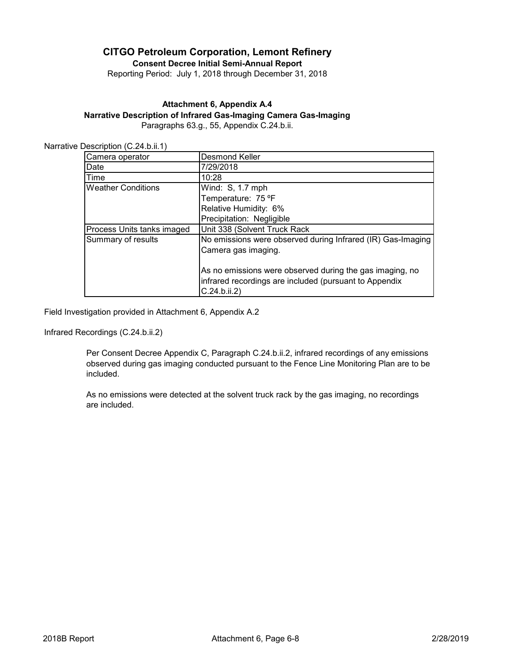**Consent Decree Initial Semi-Annual Report**

Reporting Period: July 1, 2018 through December 31, 2018

#### **Attachment 6, Appendix A.4**

**Narrative Description of Infrared Gas-Imaging Camera Gas-Imaging**

Paragraphs 63.g., 55, Appendix C.24.b.ii.

| Camera operator            | Desmond Keller                                                                                                                     |  |  |  |
|----------------------------|------------------------------------------------------------------------------------------------------------------------------------|--|--|--|
| Date                       | 7/29/2018                                                                                                                          |  |  |  |
| Time                       | 10:28                                                                                                                              |  |  |  |
| <b>Weather Conditions</b>  | Wind: S, 1.7 mph                                                                                                                   |  |  |  |
|                            | Temperature: 75 °F                                                                                                                 |  |  |  |
|                            | Relative Humidity: 6%                                                                                                              |  |  |  |
|                            | Precipitation: Negligible                                                                                                          |  |  |  |
| Process Units tanks imaged | Unit 338 (Solvent Truck Rack                                                                                                       |  |  |  |
| Summary of results         | No emissions were observed during Infrared (IR) Gas-Imaging                                                                        |  |  |  |
|                            | Camera gas imaging.                                                                                                                |  |  |  |
|                            | As no emissions were observed during the gas imaging, no<br>infrared recordings are included (pursuant to Appendix<br>C.24.b.ii.2) |  |  |  |

Field Investigation provided in Attachment 6, Appendix A.2

Infrared Recordings (C.24.b.ii.2)

Per Consent Decree Appendix C, Paragraph C.24.b.ii.2, infrared recordings of any emissions observed during gas imaging conducted pursuant to the Fence Line Monitoring Plan are to be included.

As no emissions were detected at the solvent truck rack by the gas imaging, no recordings are included.